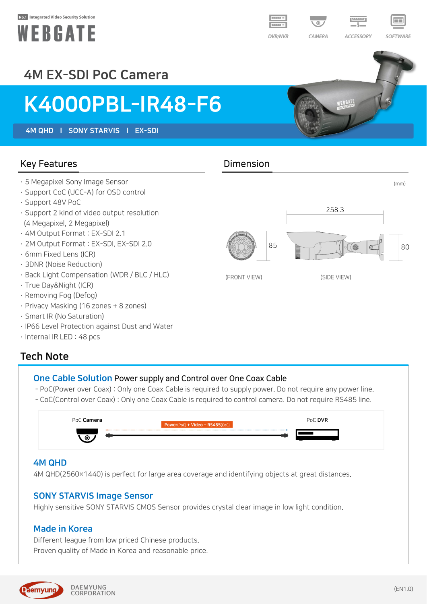#### No.1 Integrated Video Security Solution





WEBEATE

### 4M EX-SDI PoC Camera

## K4000PBL-IR48-F6

4M QHD l SONY STARVIS l EX-SDI

#### Key Features **Dimension**

- 
- · Support CoC (UCC-A) for OSD control
- · Support 48V PoC
- · Support 2 kind of video output resolution (4 Megapixel, 2 Megapixel)
- · 4M Output Format : EX-SDI 2.1
- · 2M Output Format : EX-SDI, EX-SDI 2.0
- · 6mm Fixed Lens (ICR)
- · 3DNR (Noise Reduction)
- · Back Light Compensation (WDR / BLC / HLC)
- · True Day&Night (ICR)
- · Removing Fog (Defog)
- · Privacy Masking (16 zones + 8 zones)
- · Smart IR (No Saturation)
- · IP66 Level Protection against Dust and Water
- · Internal IR LED : 48 pcs

#### Tech Note

#### One Cable Solution Power supply and Control over One Coax Cable

- PoC(Power over Coax) : Only one Coax Cable is required to supply power. Do not require any power line.
- CoC(Control over Coax) : Only one Coax Cable is required to control camera. Do not require RS485 line.

| PoC <b>Camera</b> | Power(PoC) + Video + RS485(CoC) | PoC DVR |
|-------------------|---------------------------------|---------|
| $\odot$           |                                 |         |

#### 4M QHD

4M QHD(2560×1440) is perfect for large area coverage and identifying objects at great distances.

#### SONY STARVIS Image Sensor

Highly sensitive SONY STARVIS CMOS Sensor provides crystal clear image in low light condition.

#### Made in Korea

Different league from low priced Chinese products. Proven quality of Made in Korea and reasonable price.



# · 5 Megapixel Sony Image Sensor (mm)





(FRONT VIEW) (SIDE VIEW)